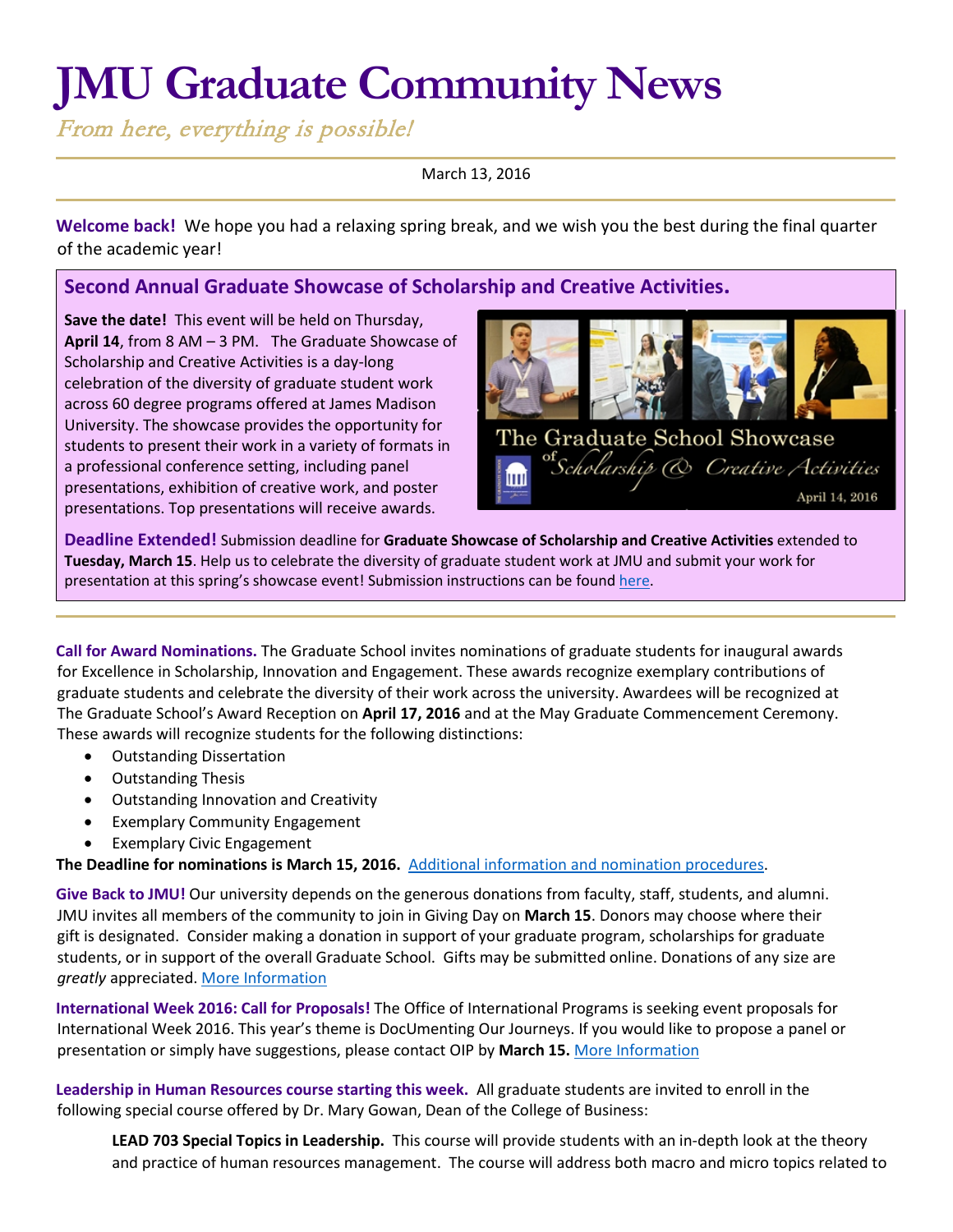# **JMU Graduate Community News**

From here, everything is possible!

March 13, 2016

**Welcome back!** We hope you had a relaxing spring break, and we wish you the best during the final quarter of the academic year!

# **Second Annual Graduate Showcase of Scholarship and Creative Activities.**

**Save the date!** This event will be held on Thursday, **April 14**, from 8 AM – 3 PM. The Graduate Showcase of Scholarship and Creative Activities is a day-long celebration of the diversity of graduate student work across 60 degree programs offered at James Madison University. The showcase provides the opportunity for students to present their work in a variety of formats in a professional conference setting, including panel presentations, exhibition of creative work, and poster presentations. Top presentations will receive awards.



**Deadline Extended!** Submission deadline for **Graduate Showcase of Scholarship and Creative Activities** extended to **Tuesday, March 15**. Help us to celebrate the diversity of graduate student work at JMU and submit your work for presentation at this spring's showcase event! Submission instructions can be found [here.](http://www.jmu.edu/grad/happenings/Showcase2016.shtml)

**Call for Award Nominations.** The Graduate School invites nominations of graduate students for inaugural awards for Excellence in Scholarship, Innovation and Engagement. These awards recognize exemplary contributions of graduate students and celebrate the diversity of their work across the university. Awardees will be recognized at The Graduate School's Award Reception on **April 17, 2016** and at the May Graduate Commencement Ceremony. These awards will recognize students for the following distinctions:

- Outstanding Dissertation
- Outstanding Thesis
- Outstanding Innovation and Creativity
- Exemplary Community Engagement
- Exemplary Civic Engagement

## **The Deadline for nominations is March 15, 2016.** [Additional information and nomination procedures.](http://www.jmu.edu/grad/current-students/awards/awards2016.shtml)

**Give Back to JMU!** Our university depends on the generous donations from faculty, staff, students, and alumni. JMU invites all members of the community to join in Giving Day on **March 15**. Donors may choose where their gift is designated. Consider making a donation in support of your graduate program, scholarships for graduate students, or in support of the overall Graduate School. Gifts may be submitted online. Donations of any size are *greatly* appreciated[. More Information](https://givingday.jmu.edu/)

**International Week 2016: Call for Proposals!** The Office of International Programs is seeking event proposals for International Week 2016. This year's theme is DocUmenting Our Journeys. If you would like to propose a panel or presentation or simply have suggestions, please contact OIP by **March 15.** [More Information](http://www.jmu.edu/international/get-involved/iweek/event-proposal.shtml)

**Leadership in Human Resources course starting this week.** All graduate students are invited to enroll in the following special course offered by Dr. Mary Gowan, Dean of the College of Business:

**LEAD 703 Special Topics in Leadership.** This course will provide students with an in-depth look at the theory and practice of human resources management. The course will address both macro and micro topics related to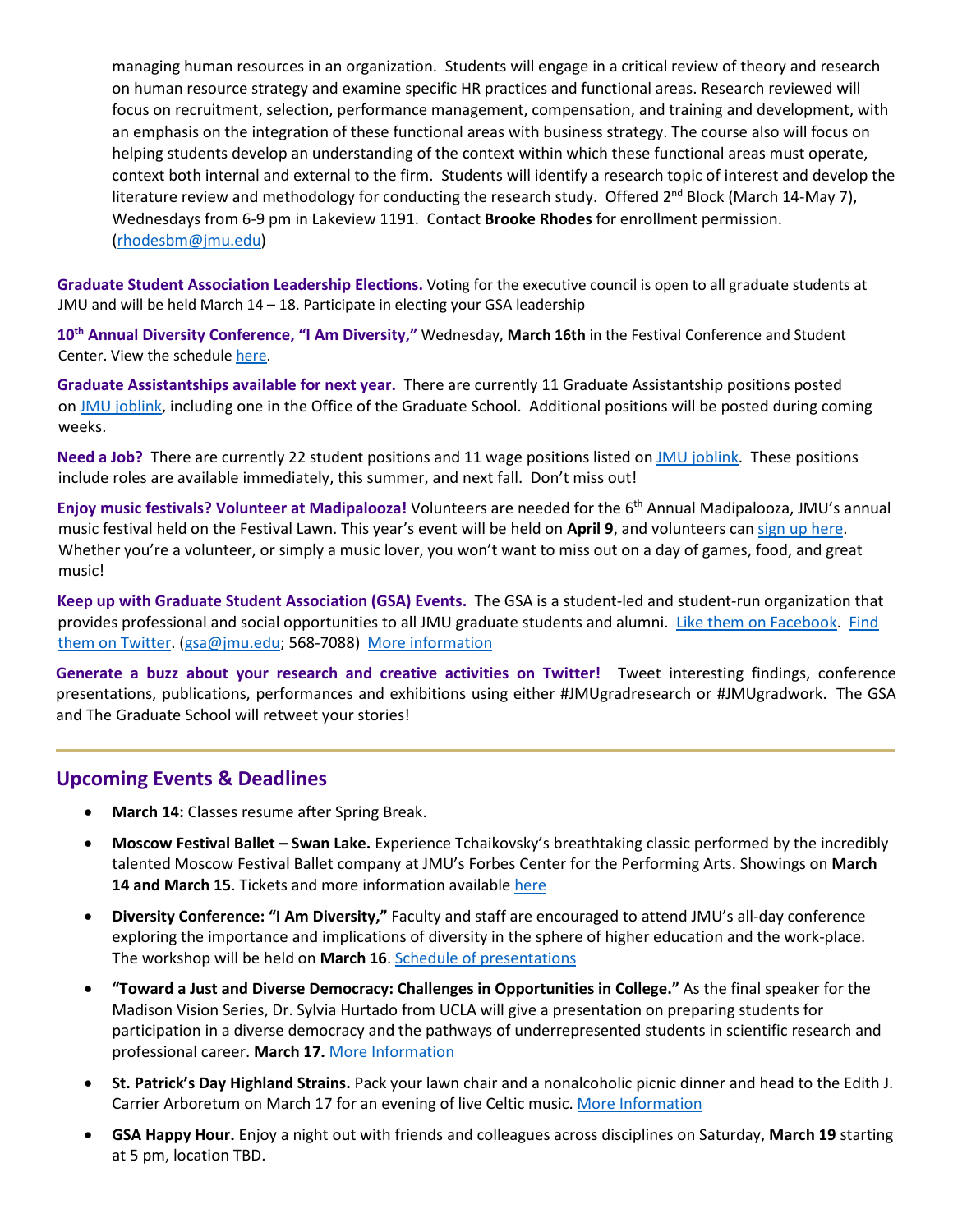managing human resources in an organization. Students will engage in a critical review of theory and research on human resource strategy and examine specific HR practices and functional areas. Research reviewed will focus on recruitment, selection, performance management, compensation, and training and development, with an emphasis on the integration of these functional areas with business strategy. The course also will focus on helping students develop an understanding of the context within which these functional areas must operate, context both internal and external to the firm. Students will identify a research topic of interest and develop the literature review and methodology for conducting the research study. Offered 2<sup>nd</sup> Block (March 14-May 7), Wednesdays from 6-9 pm in Lakeview 1191. Contact **Brooke Rhodes** for enrollment permission. [\(rhodesbm@jmu.edu\)](mailto:rhodesbm@jmu.edu)

**Graduate Student Association Leadership Elections.** Voting for the executive council is open to all graduate students at JMU and will be held March 14 – 18. Participate in electing your GSA leadership

**10th Annual Diversity Conference, "I Am Diversity,"** Wednesday, **March 16th** in the Festival Conference and Student Center. View the schedul[e here.](http://www.jmu.edu/diversity/programs-and-events/diversity-conference.shtml)

**Graduate Assistantships available for next year.** There are currently 11 Graduate Assistantship positions posted on JMU [joblink,](https://joblink.jmu.edu/) including one in the Office of the Graduate School. Additional positions will be posted during coming weeks.

**Need a Job?** There are currently 22 student positions and 11 wage positions listed on [JMU joblink.](https://joblink.jmu.edu/) These positions include roles are available immediately, this summer, and next fall. Don't miss out!

**Enjoy music festivals? Volunteer at Madipalooza!** Volunteers are needed for the 6th Annual Madipalooza, JMU's annual music festival held on the Festival Lawn. This year's event will be held on **April 9**, and volunteers can [sign up here.](https://docs.google.com/forms/d/1nSkixi6lLg6knDu2AjCx3h-yY2ZjmoNNf_aUEt-h7cU/viewform) Whether you're a volunteer, or simply a music lover, you won't want to miss out on a day of games, food, and great music[!](http://joblink.jmu.edu/) 

**Keep up with Graduate Student Association (GSA) Events.** The GSA is a student-led and student-run organization that provides professional and social opportunities to all JMU graduate students and alumni. [Like them on Facebook.](https://www.facebook.com/JMUGSA?fref=ts) [Find](https://twitter.com/JMUGSA) [them on Twitter. \(](https://twitter.com/JMUGSA)gsa@jmu.edu; 568-7088[\) More information](http://www.jmu.edu/grad/gsa/index.shtml) 

**Generate a buzz about your research and creative activities on Twitter!** Tweet interesting findings, conference presentations, publications, performances and exhibitions using either #JMUgradresearch or #JMUgradwork. The GSA and The Graduate School will retweet your stories!

## **Upcoming Events & Deadlines**

- **March 14:** Classes resume after Spring Break.
- **Moscow Festival Ballet – Swan Lake.** Experience Tchaikovsky's breathtaking classic performed by the incredibly talented Moscow Festival Ballet company at JMU's Forbes Center for the Performing Arts. Showings on **March**  14 and March 15. Tickets and more information available here
- **Diversity Conference: "I Am Diversity,"** Faculty and staff are encouraged to attend JMU's all-day conference exploring the importance and implications of diversity in the sphere of higher education and the work-place. The workshop will be held on **March 16**. [Schedule of presentations](http://www.jmu.edu/events/training/development/2016/03/16-diversity-conference-2016.shtml)
- **"Toward a Just and Diverse Democracy: Challenges in Opportunities in College."** As the final speaker for the Madison Vision Series, Dr. Sylvia Hurtado from UCLA will give a presentation on preparing students for participation in a diverse democracy and the pathways of underrepresented students in scientific research and professional career. **March 17.** [More Information](http://www.jmu.edu/events/president/2016/03/MVS-Hurtado.shtml)
- **St. Patrick's Day Highland Strains.** Pack your lawn chair and a nonalcoholic picnic dinner and head to the Edith J. Carrier Arboretum on March 17 for an evening of live Celtic music. [More Information](http://www.jmu.edu/events/2016/03/17-st-patricks-highland-strains.shtml)
- **GSA Happy Hour.** Enjoy a night out with friends and colleagues across disciplines on Saturday, **March 19** starting at 5 pm, location TBD.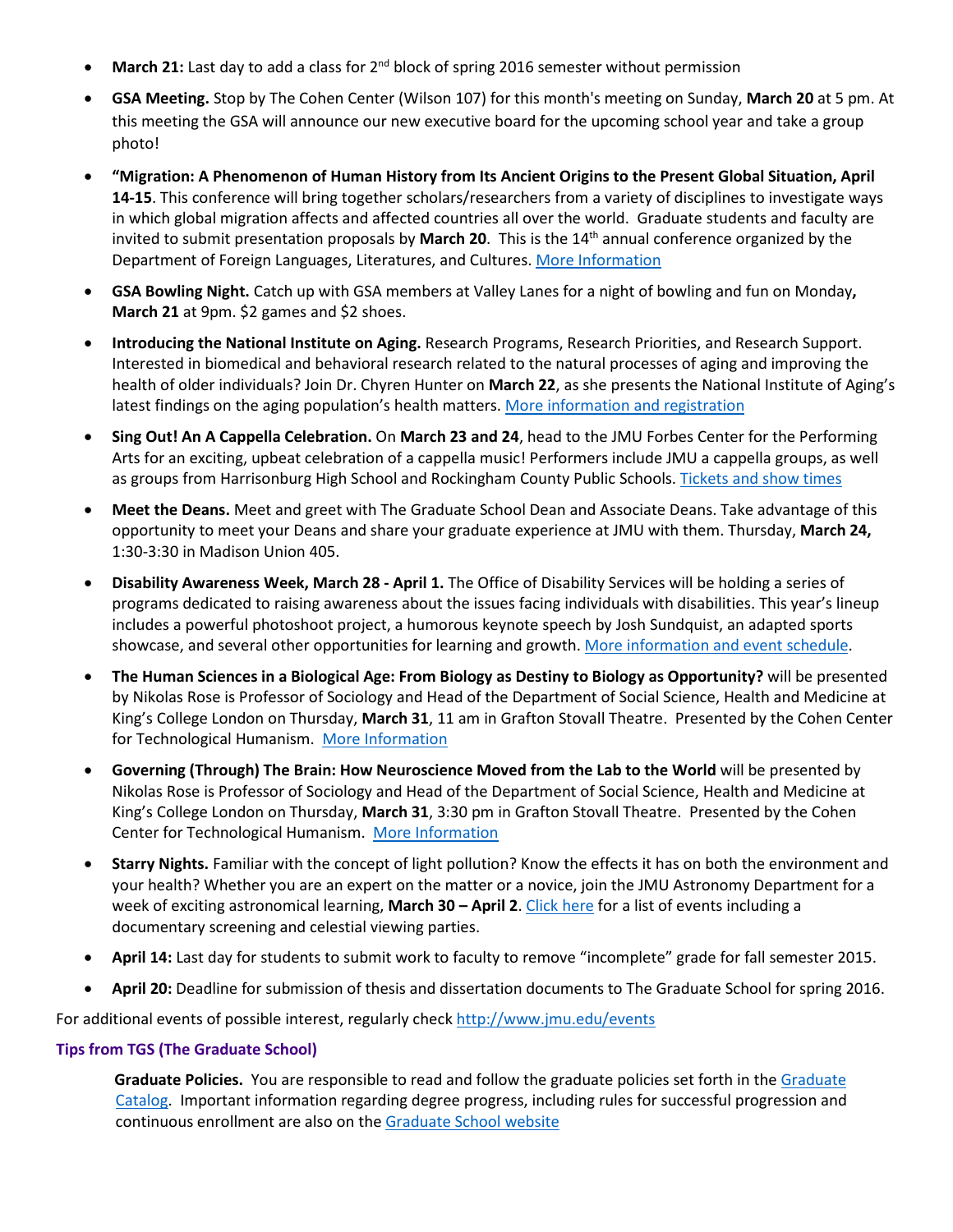- **March 21:** Last day to add a class for 2<sup>nd</sup> block of spring 2016 semester without permission
- **GSA Meeting.** Stop by The Cohen Center (Wilson 107) for this month's meeting on Sunday, **March 20** at 5 pm. At this meeting the GSA will announce our new executive board for the upcoming school year and take a group photo!
- **"Migration: A Phenomenon of Human History from Its Ancient Origins to the Present Global Situation, April 14-15**. This conference will bring together scholars/researchers from a variety of disciplines to investigate ways in which global migration affects and affected countries all over the world. Graduate students and faculty are invited to submit presentation proposals by **March 20**. This is the 14th annual conference organized by the Department of Foreign Languages, Literatures, and Cultures. [More Information](http://www.jmu.edu/forlang/conferenceFLLC/call.shtml)
- **GSA Bowling Night.** Catch up with GSA members at Valley Lanes for a night of bowling and fun on Monday**, March 21** at 9pm. \$2 games and \$2 shoes.
- **Introducing the National Institute on Aging.** Research Programs, Research Priorities, and Research Support. Interested in biomedical and behavioral research related to the natural processes of aging and improving the health of older individuals? Join Dr. Chyren Hunter on **March 22**, as she presents the National Institute of Aging's latest findings on the aging population's health matters[. More information and registration](http://www.jmu.edu/events/research/2016/03/22-event-nia-research-presentation.shtml)
- **Sing Out! An A Cappella Celebration.** On **March 23 and 24**, head to the JMU Forbes Center for the Performing Arts for an exciting, upbeat celebration of a cappella music! Performers include JMU a cappella groups, as well as groups from Harrisonburg High School and Rockingham County Public Schools. [Tickets and show](http://www.jmu.edu/forbescenter/events/2016/03/23-sing-out.shtml) times
- **Meet the Deans.** Meet and greet with The Graduate School Dean and Associate Deans. Take advantage of this opportunity to meet your Deans and share your graduate experience at JMU with them. Thursday, **March 24,** 1:30-3:30 in Madison Union 405.
- **Disability Awareness Week, March 28 - April 1.** The Office of Disability Services will be holding a series of programs dedicated to raising awareness about the issues facing individuals with disabilities. This year's lineup includes a powerful photoshoot project, a humorous keynote speech by Josh Sundquist, an adapted sports showcase, and several other opportunities for learning and growth[. More information and event schedule.](https://www.jmu.edu/ods/)
- **The Human Sciences in a Biological Age: From Biology as Destiny to Biology as Opportunity?** will be presented by Nikolas Rose is Professor of Sociology and Head of the Department of Social Science, Health and Medicine at King's College London on Thursday, **March 31**, 11 am in Grafton Stovall Theatre. Presented by the Cohen Center for Technological Humanism. [More Information](http://www.jmu.edu/events/cohencenter/2016/03/31-nikolas-rose.shtml)
- **Governing (Through) The Brain: How Neuroscience Moved from the Lab to the World** will be presented by Nikolas Rose is Professor of Sociology and Head of the Department of Social Science, Health and Medicine at King's College London on Thursday, **March 31**, 3:30 pm in Grafton Stovall Theatre. Presented by the Cohen Center for Technological Humanism. [More Information](http://www.jmu.edu/events/cohencenter/2016/03/31-nikolas-rose.shtml)
- **Starry Nights.** Familiar with the concept of light pollution? Know the effects it has on both the environment and your health? Whether you are an expert on the matter or a novice, join the JMU Astronomy Department for a week of exciting astronomical learning, **March 30 – April 2**. [Click here](http://www.jmu.edu/planetarium/starrynights.shtml) for a list of events including a documentary screening and celestial viewing parties.
- **April 14:** Last day for students to submit work to faculty to remove "incomplete" grade for fall semester 2015.
- **April 20:** Deadline for submission of thesis and dissertation documents to The Graduate School for spring 2016.

For additional events of possible interest, regularly check<http://www.jmu.edu/events>

## **Tips from TGS (The Graduate School)**

**Graduate Policies.** You are responsible to read and follow the graduate policies set forth in th[e Graduate](http://jmu.edu/catalog) [Catalog.](http://jmu.edu/catalog) Important information regarding degree progress, including rules for successful progression and continuous enrollment are also on the [Graduate School website](http://www.jmu.edu/grad/current-students/degree-progress/beginning.shtml)